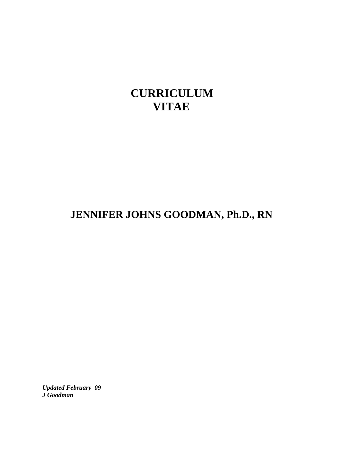# **CURRICULUM VITAE**

# **JENNIFER JOHNS GOODMAN, Ph.D., RN**

*Updated February 09 J Goodman*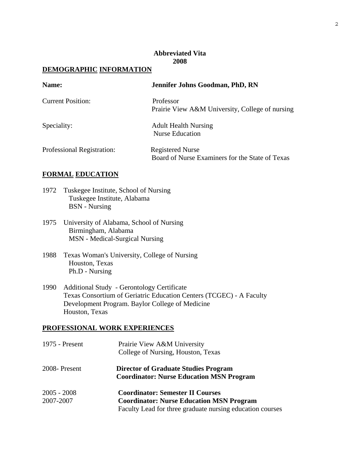### **Abbreviated Vita 2008**

# **DEMOGRAPHIC INFORMATION**

| Name:                      | Jennifer Johns Goodman, PhD, RN                 |
|----------------------------|-------------------------------------------------|
| <b>Current Position:</b>   | Professor                                       |
|                            | Prairie View A&M University, College of nursing |
| Speciality:                | <b>Adult Health Nursing</b>                     |
|                            | <b>Nurse Education</b>                          |
| Professional Registration: | <b>Registered Nurse</b>                         |
|                            | Board of Nurse Examiners for the State of Texas |

### **FORMAL EDUCATION**

- 1972 Tuskegee Institute, School of Nursing Tuskegee Institute, Alabama BSN - Nursing
- 1975 University of Alabama, School of Nursing Birmingham, Alabama MSN - Medical-Surgical Nursing
- 1988 Texas Woman's University, College of Nursing Houston, Texas Ph.D - Nursing
- 1990 Additional Study Gerontology Certificate Texas Consortium of Geriatric Education Centers (TCGEC) - A Faculty Development Program. Baylor College of Medicine Houston, Texas

# **PROFESSIONAL WORK EXPERIENCES**

| 1975 - Present             | Prairie View A&M University<br>College of Nursing, Houston, Texas                                            |
|----------------------------|--------------------------------------------------------------------------------------------------------------|
| 2008-Present               | <b>Director of Graduate Studies Program</b><br><b>Coordinator: Nurse Education MSN Program</b>               |
| $2005 - 2008$<br>2007-2007 | <b>Coordinator: Semester II Courses</b>                                                                      |
|                            | <b>Coordinator: Nurse Education MSN Program</b><br>Faculty Lead for three graduate nursing education courses |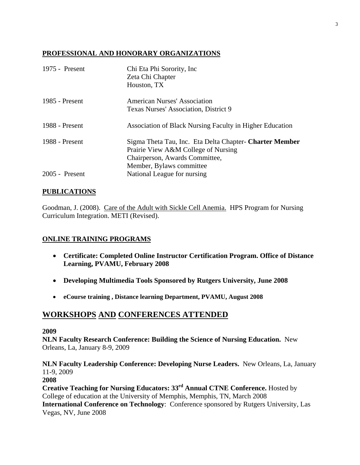## **PROFESSIONAL AND HONORARY ORGANIZATIONS**

| 1975 - Present | Chi Eta Phi Sorority, Inc<br>Zeta Chi Chapter<br>Houston, TX                                                                                                 |
|----------------|--------------------------------------------------------------------------------------------------------------------------------------------------------------|
| 1985 - Present | <b>American Nurses' Association</b><br>Texas Nurses' Association, District 9                                                                                 |
| 1988 - Present | Association of Black Nursing Faculty in Higher Education                                                                                                     |
| 1988 - Present | Sigma Theta Tau, Inc. Eta Delta Chapter- Charter Member<br>Prairie View A&M College of Nursing<br>Chairperson, Awards Committee,<br>Member, Bylaws committee |
| 2005 - Present | National League for nursing                                                                                                                                  |

## **PUBLICATIONS**

Goodman, J. (2008). Care of the Adult with Sickle Cell Anemia. HPS Program for Nursing Curriculum Integration. METI (Revised).

# **ONLINE TRAINING PROGRAMS**

- **Certificate: Completed Online Instructor Certification Program. Office of Distance Learning, PVAMU, February 2008**
- **Developing Multimedia Tools Sponsored by Rutgers University, June 2008**
- **eCourse training , Distance learning Department, PVAMU, August 2008**

# **WORKSHOPS AND CONFERENCES ATTENDED**

### **2009**

**NLN Faculty Research Conference: Building the Science of Nursing Education.** New Orleans, La, January 8-9, 2009

## **NLN Faculty Leadership Conference: Developing Nurse Leaders.** New Orleans, La, January 11-9, 2009

### **2008**

**Creative Teaching for Nursing Educators: 33rd Annual CTNE Conference.** Hosted by College of education at the University of Memphis, Memphis, TN, March 2008 **International Conference on Technology**: Conference sponsored by Rutgers University, Las Vegas, NV, June 2008